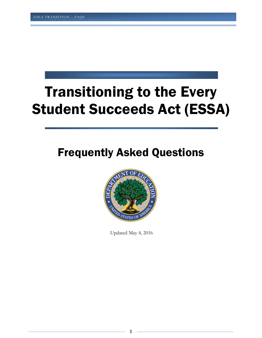# Transitioning to the Every Student Succeeds Act (ESSA)

# Frequently Asked Questions



Updated May 4, 2016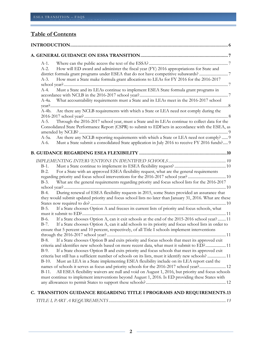# **Table of Contents**

| $A-1$ .       |                                                                                                                                                                                                    |
|---------------|----------------------------------------------------------------------------------------------------------------------------------------------------------------------------------------------------|
| $A-2$ .       | How will ED award and administer the fiscal year (FY) 2016 appropriations for State and                                                                                                            |
|               |                                                                                                                                                                                                    |
| $A-3$ .       | How must a State make formula grant allocations to LEAs for FY 2016 for the 2016-2017                                                                                                              |
| $A-4.$        | Must a State and its LEAs continue to implement ESEA State formula grant programs in                                                                                                               |
|               | A-4a. What accountability requirements must a State and its LEAs meet in the 2016-2017 school                                                                                                      |
|               | A-4b. Are there any NCLB requirements with which a State or LEA need not comply during the                                                                                                         |
| A-5.          | Through the 2016-2017 school year, must a State and its LEAs continue to collect data for the<br>Consolidated State Performance Report (CSPR) to submit to EDFacts in accordance with the ESEA, as |
| A-5a.<br>A-6. | Are there any NCLB reporting requirements with which a State or LEA need not comply?  9<br>Must a State submit a consolidated State application in July 2016 to receive FY 2016 funds? 9           |
|               |                                                                                                                                                                                                    |
|               |                                                                                                                                                                                                    |
| $B-1$ .       |                                                                                                                                                                                                    |
| $B-2$ .       | For a State with an approved ESEA flexibility request, what are the general requirements                                                                                                           |
|               |                                                                                                                                                                                                    |
| $B-3$ .       | What are the general requirements regarding priority and focus school lists for the 2016-2017                                                                                                      |
| $B-4.$        | During renewal of ESEA flexibility requests in 2015, some States provided an assurance that                                                                                                        |
|               | they would submit updated priority and focus school lists no later than January 31, 2016. What are these                                                                                           |
|               |                                                                                                                                                                                                    |
| $B-5.$        | If a State chooses Option A and freezes its current lists of priority and focus schools, what                                                                                                      |
|               |                                                                                                                                                                                                    |
|               | If a State chooses Option A, can it exit schools at the end of the 2015-2016 school year?11                                                                                                        |
| B-6.          | If a State chooses Option A, can it add schools to its priority and focus school lists in order to                                                                                                 |
| $B-7.$        |                                                                                                                                                                                                    |
|               | ensure that 5 percent and 10 percent, respectively, of all Title I schools implement interventions                                                                                                 |
|               |                                                                                                                                                                                                    |
| $B-8.$        | If a State chooses Option B and exits priority and focus schools that meet its approved exit                                                                                                       |
|               | criteria and identifies new schools based on more recent data, what must it submit to ED? 11                                                                                                       |
| $B-9.$        | If a State chooses Option B and exits priority and focus schools that meet its approved exit                                                                                                       |
|               | criteria but still has a sufficient number of schools on its lists, must it identify new schools?  11                                                                                              |
| $B-10$ .      | Must an LEA in a State implementing ESEA flexibility include on its LEA report card the                                                                                                            |
|               | names of schools it serves as focus and priority schools for the 2016-2017 school year? 12                                                                                                         |
| $B-11.$       | All ESEA flexibility waivers are null and void on August 1, 2016, but priority and focus schools                                                                                                   |
|               | must continue to implement interventions beyond August 1, 2016. Is ED providing these States with                                                                                                  |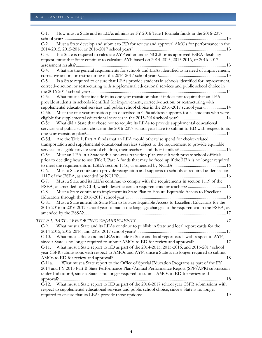| How must a State and its LEAs administer FY 2016 Title I formula funds in the 2016-2017<br>$C-1$ .                                                                                                        |
|-----------------------------------------------------------------------------------------------------------------------------------------------------------------------------------------------------------|
| Must a State develop and submit to ED for review and approval AMOs for performance in the<br>$C-2$ .                                                                                                      |
|                                                                                                                                                                                                           |
| If a State is required to calculate AYP either under NCLB or its approved ESEA flexibility<br>$C-3$ .<br>request, must that State continue to calculate AYP based on 2014-2015, 2015-2016, or 2016-2017   |
|                                                                                                                                                                                                           |
| What are the general requirements for schools and LEAs identified as in need of improvement,<br>$C-4.$                                                                                                    |
| $C-5.$                                                                                                                                                                                                    |
| Is a State required to ensure that LEAs provide students in schools identified for improvement,<br>corrective action, or restructuring with supplemental educational services and public school choice in |
|                                                                                                                                                                                                           |
| C-5a. What must a State include in its one-year transition plan if it does not require that an LEA                                                                                                        |
| provide students in schools identified for improvement, corrective action, or restructuring with                                                                                                          |
| supplemental educational services and public school choice in the 2016-2017 school year? 14                                                                                                               |
| C-5b. Must the one-year transition plan described in C-5a address supports for all students who were                                                                                                      |
|                                                                                                                                                                                                           |
| C-5c. What did a State that chose not to require its LEAs to provide supplemental educational                                                                                                             |
| services and public school choice in the 2016-2017 school year have to submit to ED with respect to its                                                                                                   |
| C-5d. Are the Title I, Part A funds that an LEA would otherwise spend for choice-related                                                                                                                  |
| transportation and supplemental educational services subject to the requirement to provide equitable                                                                                                      |
|                                                                                                                                                                                                           |
| Must an LEA in a State with a one-year transition plan consult with private school officials<br>C-5e.                                                                                                     |
| prior to deciding how to use Title I, Part A funds that may be freed up if the LEA is no longer required                                                                                                  |
|                                                                                                                                                                                                           |
| Must a State continue to provide recognition and supports to schools as required under section<br>$C-6.$                                                                                                  |
|                                                                                                                                                                                                           |
| $C-7.$<br>Must a State and its LEAs continue to comply with the requirements in section 1119 of the                                                                                                       |
| ESEA, as amended by NCLB, which describe certain requirements for teachers? 16                                                                                                                            |
| $C-8.$<br>Must a State continue to implement its State Plan to Ensure Equitable Access to Excellent                                                                                                       |
|                                                                                                                                                                                                           |
| Must a State amend its State Plan to Ensure Equitable Access to Excellent Educators for the<br>C-8a.                                                                                                      |
| 2015-2016 or 2016-2017 school year to match the language changes to the requirement in the ESEA, as                                                                                                       |
|                                                                                                                                                                                                           |
|                                                                                                                                                                                                           |
| What must a State and its LEAs continue to publish in State and local report cards for the<br>$C-9.$                                                                                                      |
|                                                                                                                                                                                                           |
| What must a State and its LEAs include in State and local report cards with respect to AYP,<br>$C-10$ .                                                                                                   |
|                                                                                                                                                                                                           |
| What must a State report to ED as part of the 2014-2015, 2015-2016, and 2016-2017 school<br>$C-11.$                                                                                                       |
| year CSPR submissions with respect to AMOs and AYP, since a State is no longer required to submit                                                                                                         |
|                                                                                                                                                                                                           |
| What must a State report to the Office of Special Education Programs as part of the FY<br>C-11a.                                                                                                          |
| 2014 and FY 2015 Part B State Performance Plan/Annual Performance Report (SPP/APR) submission                                                                                                             |
| under Indicator 3, since a State is no longer required to submit AMOs to ED for review and                                                                                                                |
|                                                                                                                                                                                                           |
| What must a State report to ED as part of the 2016-2017 school year CSPR submissions with<br>$C-12$ .                                                                                                     |
| respect to supplemental educational services and public school choice, since a State is no longer                                                                                                         |
|                                                                                                                                                                                                           |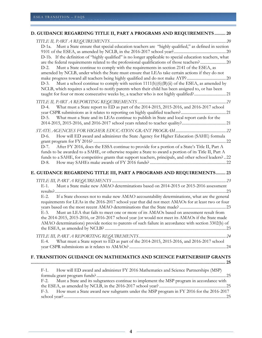|                               | D. GUIDANCE REGARDING TITLE II, PART A PROGRAMS AND REQUIREMENTS 20                                                                                                                                                                                                                                                                                                                                                                                                                                                                                                                                |
|-------------------------------|----------------------------------------------------------------------------------------------------------------------------------------------------------------------------------------------------------------------------------------------------------------------------------------------------------------------------------------------------------------------------------------------------------------------------------------------------------------------------------------------------------------------------------------------------------------------------------------------------|
| $D-2$ .                       | D-1a. Must a State ensure that special education teachers are "highly qualified," as defined in section<br>D-1b. If the definition of "highly qualified" is no longer applicable to special education teachers, what<br>Must a State continue to comply with the requirements in section 2141 of the ESEA, as<br>amended by NCLB, under which the State must ensure that LEAs take certain actions if they do not                                                                                                                                                                                  |
| $D-3$ .                       | Must a school continue to comply with section $1111(h)(6)(B)(ii)$ of the ESEA, as amended by<br>NCLB, which requires a school to notify parents when their child has been assigned to, or has been<br>taught for four or more consecutive weeks by, a teacher who is not highly qualified?21                                                                                                                                                                                                                                                                                                       |
| $D-4.$<br>$D-5.$              | What must a State report to ED as part of the 2014-2015, 2015-2016, and 2016-2017 school<br>What must a State and its LEAs continue to publish in State and local report cards for the                                                                                                                                                                                                                                                                                                                                                                                                             |
| $D-6.$<br>$D-7.$              | How will ED award and administer the State Agency for Higher Education (SAHE) formula<br>After FY 2016, does the ESSA continue to provide for a portion of a State's Title II, Part A<br>funds to be awarded to a SAHE, or otherwise require a State to award a portion of its Title II, Part A<br>funds to a SAHE, for competitive grants that support teachers, principals, and other school leaders? 22                                                                                                                                                                                         |
| D-8.                          | E. GUIDANCE REGARDING TITLE III, PART A PROGRAMS AND REQUIREMENTS 23                                                                                                                                                                                                                                                                                                                                                                                                                                                                                                                               |
| $E-1$ .<br>$E-2$ .<br>E-3.    | Must a State make new AMAO determinations based on 2014-2015 or 2015-2016 assessment<br>If a State chooses not to make new AMAO accountability determinations, what are the general<br>requirements for LEAs in the 2016-2017 school year that did not meet AMAOs for at least two or four<br>Must an LEA that fails to meet one or more of its AMAOs based on assessment result from<br>the 2014-2015, 2015-2016, or 2016-2017 school year (or would not meet its AMAOs if the State made<br>AMAO determinations) provide notice to parents of such failure in accordance with section 3302(b) of |
| $E-4.$                        | What must a State report to ED as part of the 2014-2015, 2015-2016, and 2016-2017 school                                                                                                                                                                                                                                                                                                                                                                                                                                                                                                           |
|                               | F. TRANSITION GUIDANCE ON MATHEMATICS AND SCIENCE PARTNERSHIP GRANTS                                                                                                                                                                                                                                                                                                                                                                                                                                                                                                                               |
| $F-1$ .<br>$F-2$ .<br>$F-3$ . | How will ED award and administer FY 2016 Mathematics and Science Partnerships (MSP)<br>Must a State and its subgrantees continue to implement the MSP program in accordance with<br>How must a State award new subgrants under the MSP program in FY 2016 for the 2016-2017                                                                                                                                                                                                                                                                                                                        |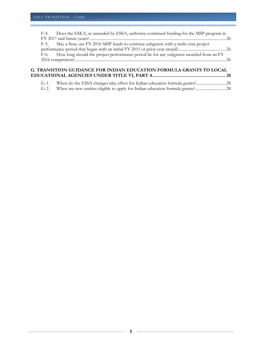| F-4. | Does the ESEA, as amended by ESSA, authorize continued funding for the MSP program in       |  |
|------|---------------------------------------------------------------------------------------------|--|
|      |                                                                                             |  |
|      | F-5. May a State use FY 2016 MSP funds to continue subgrants with a multi-year project      |  |
|      |                                                                                             |  |
|      | F-6. How long should the project performance period be for any subgrants awarded from an FY |  |
|      |                                                                                             |  |
|      |                                                                                             |  |
|      |                                                                                             |  |

#### **[G. TRANSITION GUIDANCE FOR INDIAN EDUCATION FORMULA GRANTS TO LOCAL](#page-27-0)  [EDUCATIONAL AGENCIES UNDER TITLE VI, PART A ...........................................................](#page-27-0) 28**

| $G-1$ . |                                                                                |  |
|---------|--------------------------------------------------------------------------------|--|
| $G-2$ . | When are new entities eligible to apply for Indian education formula grants?28 |  |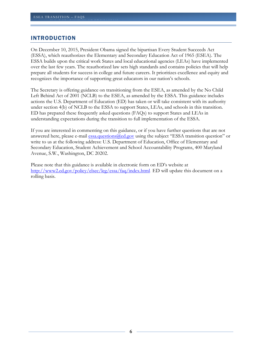#### <span id="page-5-0"></span>INTRODUCTION

On December 10, 2015, President Obama signed the bipartisan Every Student Succeeds Act (ESSA), which reauthorizes the Elementary and Secondary Education Act of 1965 (ESEA). The ESSA builds upon the critical work States and local educational agencies (LEAs) have implemented over the last few years. The reauthorized law sets high standards and contains policies that will help prepare all students for success in college and future careers. It prioritizes excellence and equity and recognizes the importance of supporting great educators in our nation's schools.

The Secretary is offering guidance on transitioning from the ESEA, as amended by the No Child Left Behind Act of 2001 (NCLB) to the ESEA, as amended by the ESSA. This guidance includes actions the U.S. Department of Education (ED) has taken or will take consistent with its authority under section 4(b) of NCLB to the ESSA to support States, LEAs, and schools in this transition. ED has prepared these frequently asked questions (FAQs) to support States and LEAs in understanding expectations during the transition to full implementation of the ESSA.

If you are interested in commenting on this guidance, or if you have further questions that are not answered here, please e-mail [essa.questions@ed.gov](mailto:essa.questions@ed.gov) using the subject "ESSA transition question" or write to us at the following address: U.S. Department of Education, Office of Elementary and Secondary Education, Student Achievement and School Accountability Programs, 400 Maryland Avenue, S.W., Washington, DC 20202.

Please note that this guidance is available in electronic form on ED's website at [http://www2.ed.gov/policy/elsec/leg/essa/faq/index.html.](http://www2.ed.gov/policy/elsec/leg/essa/faq/index.html) ED will update this document on a rolling basis.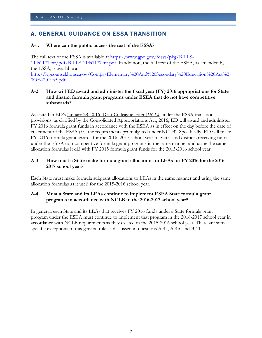# <span id="page-6-0"></span>A. GENERAL GUIDANCE ON ESSA TRANSITION

#### <span id="page-6-1"></span>**A-1. Where can the public access the text of the ESSA?**

U.S. DEPARTMENT OF EDUCATION OF EDUCATION OF EXPLORATION OF EXPLORATION OF EXPLORATION OF EXPLORATION OF EXPLORATION

The full text of the ESSA is available at [https://www.gpo.gov/fdsys/pkg/BILLS-](https://www.gpo.gov/fdsys/pkg/BILLS-114s1177enr/pdf/BILLS-114s1177enr.pdf)[114s1177enr/pdf/BILLS-114s1177enr.pdf.](https://www.gpo.gov/fdsys/pkg/BILLS-114s1177enr/pdf/BILLS-114s1177enr.pdf) In addition, the full text of the ESEA, as amended by the ESSA, is available at [http://legcounsel.house.gov/Comps/Elementary%20And%20Secondary%20Education%20Act%2](http://legcounsel.house.gov/Comps/Elementary%20And%20Secondary%20Education%20Act%20Of%201965.pdf) [0Of%201965.pdf.](http://legcounsel.house.gov/Comps/Elementary%20And%20Secondary%20Education%20Act%20Of%201965.pdf)

#### <span id="page-6-2"></span>**A-2. How will ED award and administer the fiscal year (FY) 2016 appropriations for State and district formula grant programs under ESEA that do not have competitive subawards?**

As stated in ED's [January 28, 2016, Dear Colleague letter \(](http://www2.ed.gov/policy/elsec/leg/essa/transitionsy1617-dcl.pdf)*DCL)*, under the ESSA transition provisions, as clarified by the Consolidated Appropriations Act, 2016, ED will award and administer FY 2016 formula grant funds in accordance with the ESEA as in effect on the day before the date of enactment of the ESSA (*i.e.,* the requirements promulgated under NCLB). Specifically, ED will make FY 2016 formula grant awards for the 2016–2017 school year to States and districts receiving funds under the ESEA non-competitive formula grant programs in the same manner and using the same allocation formulas it did with FY 2015 formula grant funds for the 2015-2016 school year.

#### <span id="page-6-3"></span>**A-3. How must a State make formula grant allocations to LEAs for FY 2016 for the 2016- 2017 school year?**

Each State must make formula subgrant allocations to LEAs in the same manner and using the same allocation formulas as it used for the 2015-2016 school year.

#### <span id="page-6-4"></span>**A-4. Must a State and its LEAs continue to implement ESEA State formula grant programs in accordance with NCLB in the 2016-2017 school year?**

In general, each State and its LEAs that receives FY 2016 funds under a State formula grant program under the ESEA must continue to implement that program in the 2016-2017 school year in accordance with NCLB requirements as they existed in the 2015-2016 school year. There are some specific exceptions to this general rule as discussed in questions A-4a, A-4b, and B-11.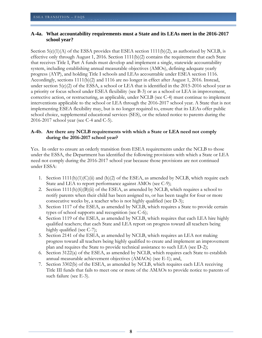#### <span id="page-7-0"></span>**A-4a. What accountability requirements must a State and its LEAs meet in the 2016-2017 school year?**

Section  $5(e)(1)(A)$  of the ESSA provides that ESEA section 1111(b)(2), as authorized by NCLB, is effective only through August 1, 2016. Section 1111(b)(2) contains the requirement that each State that receives Title I, Part A funds must develop and implement a single, statewide accountability system, including establishing annual measurable objectives (AMOs), defining adequate yearly progress (AYP), and holding Title I schools and LEAs accountable under ESEA section 1116. Accordingly, sections 1111(b)(2) and 1116 are no longer in effect after August 1, 2016. Instead, under section 5(e)(2) of the ESSA, a school or LEA that is identified in the 2015-2016 school year as a priority or focus school under ESEA flexibility (see B-3) or as a school or LEA in improvement, corrective action, or restructuring, as applicable, under NCLB (see C-4) must continue to implement interventions applicable to the school or LEA through the 2016-2017 school year. A State that is not implementing ESEA flexibility may, but is no longer required to, ensure that its LEAs offer public school choice, supplemental educational services (SES), or the related notice to parents during the 2016-2017 school year (see C-4 and C-5).

#### <span id="page-7-1"></span>**A-4b. Are there any NCLB requirements with which a State or LEA need not comply during the 2016-2017 school year?**

Yes. In order to ensure an orderly transition from ESEA requirements under the NCLB to those under the ESSA, the Department has identified the following provisions with which a State or LEA need not comply during the 2016-2017 school year because those provisions are not continued under ESSA:

- 1. Section  $1111(h)(1)(C(ii)$  and  $(h)(2)$  of the ESEA, as amended by NCLB, which require each State and LEA to report performance against AMOs (see C-9);
- 2. Section  $1111(h)(6)(B)(ii)$  of the ESEA, as amended by NCLB, which requires a school to notify parents when their child has been assigned to, or has been taught for four or more consecutive weeks by, a teacher who is not highly qualified (see D-3);
- 3. Section 1117 of the ESEA, as amended by NCLB, which requires a State to provide certain types of school supports and recognition (see C-6);
- 4. Section 1119 of the ESEA, as amended by NCLB, which requires that each LEA hire highly qualified teachers; that each State and LEA report on progress toward all teachers being highly qualified (see C-7);
- 5. Section 2141 of the ESEA, as amended by NCLB, which requires an LEA not making progress toward all teachers being highly qualified to create and implement an improvement plan and requires the State to provide technical assistance to such LEA (see D-2);
- 6. Section 3122(a) of the ESEA, as amended by NCLB, which requires each State to establish annual measurable achievement objectives (AMAOs) (see E-1); and,
- 7. Section 3302(b) of the ESEA, as amended by NCLB, which requires each LEA receiving Title III funds that fails to meet one or more of the AMAOs to provide notice to parents of such failure (see E-3).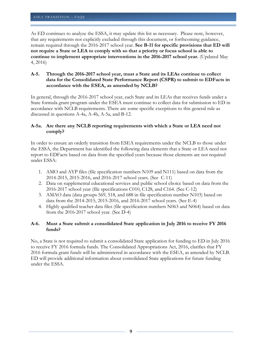As ED continues to analyze the ESSA, it may update this list as necessary. Please note, however, that any requirements not explicitly excluded through this document, or forthcoming guidance, remain required through the 2016-2017 school year. **See B-11 for specific provisions that ED will not require a State or LEA to comply with so that a priority or focus school is able to continue to implement appropriate interventions in the 2016-2017 school year.** (Updated May 4, 2016)

#### <span id="page-8-0"></span>**A-5. Through the 2016-2017 school year, must a State and its LEAs continue to collect data for the Consolidated State Performance Report (CSPR) to submit to EDFacts in accordance with the ESEA, as amended by NCLB?**

In general, through the 2016-2017 school year, each State and its LEAs that receives funds under a State formula grant program under the ESEA must continue to collect data for submission to ED in accordance with NCLB requirements. There are some specific exceptions to this general rule as discussed in questions A-4a, A-4b, A-5a, and B-12.

#### <span id="page-8-1"></span>**A-5a. Are there any NCLB reporting requirements with which a State or LEA need not comply?**

In order to ensure an orderly transition from ESEA requirements under the NCLB to those under the ESSA, the Department has identified the following data elements that a State or LEA need not report to EDFacts based on data from the specified years because those elements are not required under ESSA:

- 1. AMO and AYP files (file specification numbers N109 and N111) based on data from the 2014-2015, 2015-2016, and 2016-2017 school years. (See C-11)
- 2. Data on supplemental educational services and public school choice based on data from the 2016-2017 school year (file specifications C010, C128, and C164. (See C-12)
- 3. AMAO data (data groups 569, 518, and 688 in file specification number N103) based on data from the 2014-2015, 2015-2016, and 2016-2017 school years. (See E-4)
- 4. Highly qualified teacher data files (file specification numbers N063 and N064) based on data from the 2016-2017 school year. (See D-4)

#### <span id="page-8-2"></span>**A-6. Must a State submit a consolidated State application in July 2016 to receive FY 2016 funds?**

No, a State is not required to submit a consolidated State application for funding to ED in July 2016 to receive FY 2016 formula funds. The Consolidated Appropriations Act, 2016, clarifies that FY 2016 formula grant funds will be administered in accordance with the ESEA, as amended by NCLB. ED will provide additional information about consolidated State applications for future funding under the ESSA.

**9**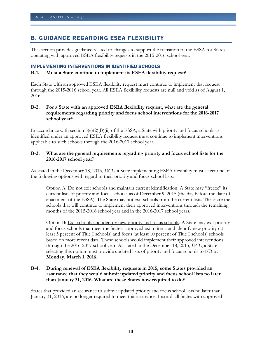# <span id="page-9-0"></span>B. GUIDANCE REGARDING ESEA FLEXIBILITY

U.S. DEPARTMENT OF EDUCATION OF EDUCATION OF EXPLORATION OF EXPLORATION OF EXPLORATION OF EXPLORATION OF EXPLORATION

This section provides guidance related to changes to support the transition to the ESSA for States operating with approved ESEA flexibility requests in the 2015-2016 school year.

#### <span id="page-9-1"></span>IMPLEMENTING INTERVENTIONS IN IDENTIFIED SCHOOLS

#### <span id="page-9-2"></span>**B-1. Must a State continue to implement its ESEA flexibility request?**

Each State with an approved ESEA flexibility request must continue to implement that request through the 2015-2016 school year. All ESEA flexibility requests are null and void as of August 1, 2016.

#### <span id="page-9-3"></span>**B-2. For a State with an approved ESEA flexibility request, what are the general requirements regarding priority and focus school interventions for the 2016-2017 school year?**

In accordance with section  $5(e)(2)(B)(ii)$  of the ESSA, a State with priority and focus schools as identified under an approved ESEA flexibility request must continue to implement interventions applicable to such schools through the 2016-2017 school year.

#### <span id="page-9-4"></span>**B-3. What are the general requirements regarding priority and focus school lists for the 2016-2017 school year?**

As stated in the [December 18, 2015,](http://www2.ed.gov/policy/elsec/leg/essa/transition-dcl.pdf) *DCL,* a State implementing ESEA flexibility must select one of the following options with regard to their priority and focus school lists:

Option A: Do not exit schools and maintain current identification. A State may "freeze" its current lists of priority and focus schools as of December 9, 2015 (the day before the date of enactment of the ESSA). The State may not exit schools from the current lists. These are the schools that will continue to implement their approved interventions through the remaining months of the 2015-2016 school year and in the 2016-2017 school years.

Option B: Exit schools and identify new priority and focus schools. A State may exit priority and focus schools that meet the State's approved exit criteria and identify new priority (at least 5 percent of Title I schools) and focus (at least 10 percent of Title I schools) schools based on more recent data. These schools would implement their approved interventions through the 2016-2017 school year. As stated in the [December 18, 2015,](http://www2.ed.gov/policy/elsec/leg/essa/transition-dcl.pdf) *DCL*, a State selecting this option must provide updated lists of priority and focus schools to ED by **Monday, March 1, 2016.** 

#### <span id="page-9-5"></span>**B-4. During renewal of ESEA flexibility requests in 2015, some States provided an assurance that they would submit updated priority and focus school lists no later than January 31, 2016. What are these States now required to do?**

States that provided an assurance to submit updated priority and focus school lists no later than January 31, 2016, are no longer required to meet this assurance. Instead, all States with approved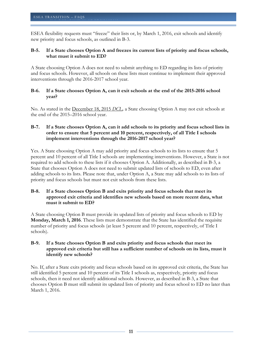ESEA flexibility requests must "freeze" their lists or, by March 1, 2016, exit schools and identify new priority and focus schools, as outlined in B-3.

#### <span id="page-10-0"></span>**B-5. If a State chooses Option A and freezes its current lists of priority and focus schools, what must it submit to ED?**

A State choosing Option A does not need to submit anything to ED regarding its lists of priority and focus schools. However, all schools on these lists must continue to implement their approved interventions through the 2016-2017 school year.

#### <span id="page-10-1"></span>**B-6. If a State chooses Option A, can it exit schools at the end of the 2015-2016 school year?**

No. As stated in the [December 18, 2015](http://www2.ed.gov/policy/elsec/leg/essa/transition-dcl.pdf) *DCL,* a State choosing Option A may not exit schools at the end of the 2015–2016 school year.

#### <span id="page-10-2"></span>**B-7. If a State chooses Option A, can it add schools to its priority and focus school lists in order to ensure that 5 percent and 10 percent, respectively, of all Title I schools implement interventions through the 2016-2017 school year?**

Yes. A State choosing Option A may add priority and focus schools to its lists to ensure that 5 percent and 10 percent of all Title I schools are implementing interventions. However, a State is not required to add schools to these lists if it chooses Option A. Additionally, as described in B-3, a State that chooses Option A does not need to submit updated lists of schools to ED, even after adding schools to its lists. Please note that, under Option A, a State may add schools to its lists of priority and focus schools but must not exit schools from these lists.

#### <span id="page-10-3"></span>**B-8. If a State chooses Option B and exits priority and focus schools that meet its approved exit criteria and identifies new schools based on more recent data, what must it submit to ED?**

A State choosing Option B must provide its updated lists of priority and focus schools to ED by **Monday, March 1, 2016**. These lists must demonstrate that the State has identified the requisite number of priority and focus schools (at least 5 percent and 10 percent, respectively, of Title I schools).

#### <span id="page-10-4"></span>**B-9. If a State chooses Option B and exits priority and focus schools that meet its approved exit criteria but still has a sufficient number of schools on its lists, must it identify new schools?**

No. If, after a State exits priority and focus schools based on its approved exit criteria, the State has still identified 5 percent and 10 percent of its Title I schools as, respectively, priority and focus schools, then it need not identify additional schools. However, as described in B-3, a State that chooses Option B must still submit its updated lists of priority and focus school to ED no later than March 1, 2016.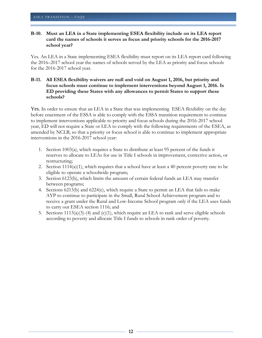#### <span id="page-11-0"></span>**B-10. Must an LEA in a State implementing ESEA flexibility include on its LEA report card the names of schools it serves as focus and priority schools for the 2016-2017 school year?**

Yes. An LEA in a State implementing ESEA flexibility must report on its LEA report card following the 2016–2017 school year the names of schools served by the LEA as priority and focus schools for the 2016-2017 school year.

#### <span id="page-11-1"></span>**B-11. All ESEA flexibility waivers are null and void on August 1, 2016, but priority and focus schools must continue to implement interventions beyond August 1, 2016. Is ED providing these States with any allowances to permit States to support these schools?**

Yes. In order to ensure that an LEA in a State that was implementing ESEA flexibility on the day before enactment of the ESSA is able to comply with the ESSA transition requirement to continue to implement interventions applicable to priority and focus schools during the 2016-2017 school year, ED will not require a State or LEA to comply with the following requirements of the ESEA, as amended by NCLB, so that a priority or focus school is able to continue to implement appropriate interventions in the 2016-2017 school year:

- 1. Section 1003(a), which requires a State to distribute at least 95 percent of the funds it reserves to allocate to LEAs for use in Title I schools in improvement, corrective action, or restructuring;
- 2. Section  $1114(a)(1)$ , which requires that a school have at least a 40 percent poverty rate to be eligible to operate a schoolwide program;
- 3. Section 6123(b), which limits the amount of certain federal funds an LEA may transfer between programs;
- 4. Sections 6213(b) and 6224(e), which require a State to permit an LEA that fails to make AYP to continue to participate in the Small, Rural School Achievement program and to receive a grant under the Rural and Low-Income School program only if the LEA uses funds to carry out ESEA section 1116; and
- 5. Sections  $1113(a)(3)-(4)$  and  $(c)(1)$ , which require an LEA to rank and serve eligible schools according to poverty and allocate Title I funds to schools in rank order of poverty.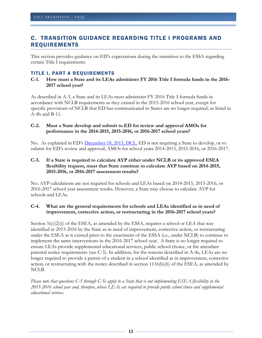# <span id="page-12-0"></span>C. TRANSITION GUIDANCE REGARDING TITLE I PROGRAMS AND REQUIREMENTS

This section provides guidance on ED's expectations during the transition to the ESSA regarding certain Title I requirements.

#### <span id="page-12-1"></span>TITLE I, PART A REQUIREMENTS

U.S. DEPARTMENT OF EDUCATION OF EDUCATION OF EXPLORATION OF EXPLORATION OF EXPLORATION OF EXPLORATION OF EXPLORATION

#### <span id="page-12-2"></span>**C-1. How must a State and its LEAs administer FY 2016 Title I formula funds in the 2016- 2017 school year?**

As described in A-3, a State and its LEAs must administer FY 2016 Title I formula funds in accordance with NCLB requirements as they existed in the 2015-2016 school year, except for specific provisions of NCLB that ED has communicated to States are no longer required, as listed in A-4b and B-11.

#### <span id="page-12-3"></span>**C-2. Must a State develop and submit to ED for review and approval AMOs for performance in the 2014-2015, 2015-2016, or 2016-2017 school years?**

No. As explained in ED's [December 18, 2015, DCL,](http://www2.ed.gov/policy/elsec/leg/essa/transition-dcl.pdf) ED is not requiring a State to develop, or to submit for ED's review and approval, AMOs for school years 2014-2015, 2015-2016, or 2016-2017.

#### <span id="page-12-4"></span>**C-3. If a State is required to calculate AYP either under NCLB or its approved ESEA flexibility request, must that State continue to calculate AYP based on 2014-2015, 2015-2016, or 2016-2017 assessment results?**

No. AYP calculations are not required for schools and LEAs based on 2014-2015, 2015-2016, or 2016-2017 school year assessment results. However, a State may choose to calculate AYP for schools and LEAs.

#### <span id="page-12-5"></span>**C-4. What are the general requirements for schools and LEAs identified as in need of improvement, corrective action, or restructuring in the 2016-2017 school years?**

Section  $5(e)(2)(i)$  of the ESEA, as amended by the ESSA, requires a school or LEA that was identified in 2015-2016 by the State as in need of improvement, corrective action, or restructuring under the ESEA as it existed prior to the enactment of the ESSA (i.e., under NCLB) to continue to implement the same interventions in the 2016-2017 school year. A State is no longer required to ensure LEAs provide supplemental educational services, public school choice, or the attendant parental notice requirements (see C-5). In addition, for the reasons described in A-4a, LEAs are no longer required to provide a parent of a student in a school identified as in improvement, corrective action, or restructuring with the notice described in section 1116(b)(6) of the ESEA, as amended by NCLB.

*Please note that questions C-5 through C-5e apply to a State that is not implementing ESEA flexibility in the 2015-2016 school year and, therefore, whose LEAs are required to provide public school choice and supplemental educational services.*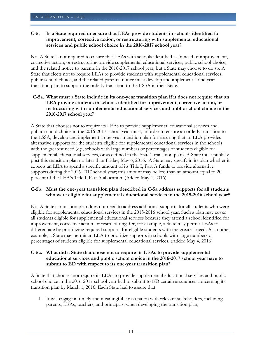#### <span id="page-13-0"></span>**C-5. Is a State required to ensure that LEAs provide students in schools identified for improvement, corrective action, or restructuring with supplemental educational services and public school choice in the 2016-2017 school year?**

No. A State is not required to ensure that LEAs with schools identified as in need of improvement, corrective action, or restructuring provide supplemental educational services, public school choice, and the related notice to parents in the 2016-2017 school year, but a State may choose to do so. A State that elects not to require LEAs to provide students with supplemental educational services, public school choice, and the related parental notice must develop and implement a one-year transition plan to support the orderly transition to the ESSA in their State.

#### <span id="page-13-1"></span>**C-5a. What must a State include in its one-year transition plan if it does not require that an LEA provide students in schools identified for improvement, corrective action, or restructuring with supplemental educational services and public school choice in the 2016-2017 school year?**

A State that chooses not to require its LEAs to provide supplemental educational services and public school choice in the 2016-2017 school year must, in order to ensure an orderly transition to the ESSA, develop and implement a one-year transition plan for ensuring that an LEA provides alternative supports for the students eligible for supplemental educational services in the schools with the greatest need (*e.g.*, schools with large numbers or percentages of students eligible for supplemental educational services, or as defined in the State's transition plan). A State must publicly post this transition plan no later than Friday, May 6, 2016. A State may specify in its plan whether it expects an LEA to spend a specific amount of its Title I, Part A funds to provide alternative supports during the 2016-2017 school year; this amount may be less than an amount equal to 20 percent of the LEA's Title I, Part A allocation. (Added May 4, 2016)

#### <span id="page-13-2"></span>**C-5b. Must the one-year transition plan described in C-5a address supports for all students who were eligible for supplemental educational services in the 2015-2016 school year?**

No. A State's transition plan does not need to address additional supports for all students who were eligible for supplemental educational services in the 2015-2016 school year. Such a plan may cover all students eligible for supplemental educational services because they attend a school identified for improvement, corrective action, or restructuring. Or, for example, a State may permit LEAs to differentiate by prioritizing required supports for eligible students with the greatest need. As another example, a State may permit an LEA to prioritize supports in schools with large numbers or percentages of students eligible for supplemental educational services. (Added May 4, 2016)

#### <span id="page-13-3"></span>**C-5c. What did a State that chose not to require its LEAs to provide supplemental educational services and public school choice in the 2016-2017 school year have to submit to ED with respect to its one-year transition plan?**

A State that chooses not require its LEAs to provide supplemental educational services and public school choice in the 2016-2017 school year had to submit to ED certain assurances concerning its transition plan by March 1, 2016. Each State had to assure that:

1. It will engage in timely and meaningful consultation with relevant stakeholders, including parents, LEAs, teachers, and principals, when developing the transition plan;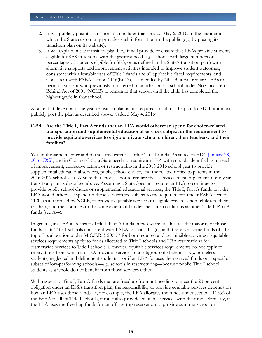- 2. It will publicly post its transition plan no later than Friday, May 6, 2016, in the manner in which the State customarily provides such information to the public (*e.g.*, by posting its transition plan on its website);
- 3. It will explain in the transition plan how it will provide or ensure that LEAs provide students eligible for SES in schools with the greatest need (*e.g.*, schools with large numbers or percentages of students eligible for SES, or as defined in the State's transition plan) with alternative supports and improvement activities intended to improve student outcomes, consistent with allowable uses of Title I funds and all applicable fiscal requirements; and
- 4. Consistent with ESEA section 1116(b)(13), as amended by NCLB, it will require LEAs to permit a student who previously transferred to another public school under No Child Left Behind Act of 2001 (NCLB) to remain in that school until the child has completed the highest grade in that school.

A State that develops a one-year transition plan is not required to submit the plan to ED, but it must publicly post the plan as described above. (Added May 4, 2016)

#### <span id="page-14-0"></span>**C-5d. Are the Title I, Part A funds that an LEA would otherwise spend for choice-related transportation and supplemental educational services subject to the requirement to provide equitable services to eligible private school children, their teachers, and their families?**

Yes, in the same manner and to the same extent as other Title I funds. As stated in ED's January 28, [2016,](http://www2.ed.gov/policy/elsec/leg/essa/transitionsy1617-dcl.pdf) *DCL*, and in C-5 and C-5a, a State need not require an LEA with schools identified as in need of improvement, corrective action, or restructuring in the 2015-2016 school year to provide supplemental educational services, public school choice, and the related notice to parents in the 2016-2017 school year. A State that chooses not to require these services must implement a one-year transition plan as described above. Assuming a State does not require an LEA to continue to provide public school choice or supplemental educational services, the Title I, Part A funds that the LEA would otherwise spend on those services are subject to the requirements under ESEA section 1120, as authorized by NCLB, to provide equitable services to eligible private school children, their teachers, and their families to the same extent and under the same conditions as other Title I, Part A funds (see A-4).

In general, an LEA allocates its Title I, Part A funds in two ways: it allocates the majority of those funds to its Title I schools consistent with ESEA section 1113(c); and it reserves some funds off the top of its allocation under 34 C.F.R. § 200.77 for both required and permissible activities. Equitable services requirements apply to funds allocated to Title I schools and LEA reservations for districtwide services to Title I schools. However, equitable services requirements do not apply to reservations from which an LEA provides services to a subgroup of students—*e.g.,* homeless students, neglected and delinquent students—or if an LEA focuses the reserved funds on a specific subset of low-performing schools—*e.g.,* schools in restructuring—because public Title I school students as a whole do not benefit from those services either.

With respect to Title I, Part A funds that are freed up from not needing to meet the 20 percent obligation under an ESSA transition plan, the responsibility to provide equitable services depends on how an LEA uses those funds. If, for example, the LEA allocates the funds under section 1113(c) of the ESEA to all its Title I schools, it must also provide equitable services with the funds. Similarly, if the LEA uses the freed-up funds for an off-the-top reservation to provide summer school or

**15**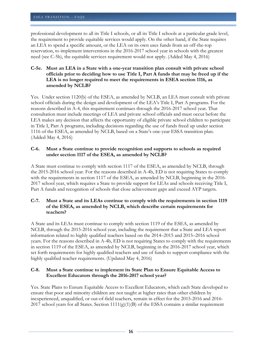professional development to all its Title I schools, or all its Title I schools at a particular grade level, the requirement to provide equitable services would apply. On the other hand, if the State requires an LEA to spend a specific amount, or the LEA on its own uses funds from an off-the-top reservation, to implement interventions in the 2016-2017 school year in schools with the greatest need (see C-5b), the equitable services requirement would not apply. (Added May 4, 2016)

#### <span id="page-15-0"></span>**C-5e. Must an LEA in a State with a one-year transition plan consult with private school officials prior to deciding how to use Title I, Part A funds that may be freed up if the LEA is no longer required to meet the requirements in ESEA section 1116, as amended by NCLB?**

Yes. Under section 1120(b) of the ESEA, as amended by NCLB, an LEA must consult with private school officials during the design and development of the LEA's Title I, Part A programs. For the reasons described in A-4, this requirement continues through the 2016-2017 school year. That consultation must include meetings of LEA and private school officials and must occur before the LEA makes any decision that affects the opportunity of eligible private school children to participate in Title I, Part A programs, including decisions regarding the use of funds freed up under section 1116 of the ESEA, as amended by NCLB, based on a State's one-year ESSA transition plan. (Added May 4, 2016)

#### <span id="page-15-1"></span>**C-6. Must a State continue to provide recognition and supports to schools as required under section 1117 of the ESEA, as amended by NCLB?**

A State must continue to comply with section 1117 of the ESEA, as amended by NCLB, through the 2015-2016 school year. For the reasons described in A-4b, ED is not requiring States to comply with the requirements in section 1117 of the ESEA, as amended by NCLB, beginning in the 2016- 2017 school year, which requires a State to provide support for LEAs and schools receiving Title I, Part A funds and recognition of schools that close achievement gaps and exceed AYP targets.

#### <span id="page-15-2"></span>**C-7. Must a State and its LEAs continue to comply with the requirements in section 1119 of the ESEA, as amended by NCLB, which describe certain requirements for teachers?**

A State and its LEAs must continue to comply with section 1119 of the ESEA, as amended by NCLB, through the 2015-2016 school year, including the requirement that a State and LEA report information related to highly qualified teachers based on the 2014–2015 and 2015–2016 school years. For the reasons described in A-4b, ED is not requiring States to comply with the requirements in section 1119 of the ESEA, as amended by NCLB, beginning in the 2016-2017 school year, which set forth requirements for highly qualified teachers and use of funds to support compliance with the highly qualified teacher requirements. (Updated May 4, 2016)

#### <span id="page-15-3"></span>**C-8. Must a State continue to implement its State Plan to Ensure Equitable Access to Excellent Educators through the 2016-2017 school year?**

Yes. State Plans to Ensure Equitable Access to Excellent Educators, which each State developed to ensure that poor and minority children are not taught at higher rates than other children by inexperienced, unqualified, or out-of-field teachers, remain in effect for the 2015-2016 and 2016- 2017 school years for all States. Section  $1111(g)(1)(B)$  of the ESSA contains a similar requirement

**16**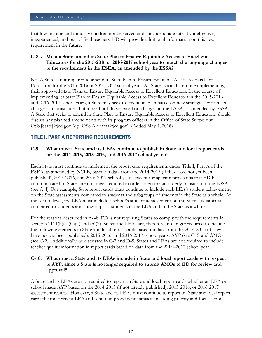that low-income and minority children not be served at disproportionate rates by ineffective, inexperienced, and out-of-field teachers. ED will provide additional information on this new requirement in the future.

#### <span id="page-16-0"></span>**C-8a. Must a State amend its State Plan to Ensure Equitable Access to Excellent Educators for the 2015-2016 or 2016-2017 school year to match the language changes to the requirement in the ESEA, as amended by the ESSA?**

No. A State is not required to amend its State Plan to Ensure Equitable Access to Excellent Educators for the 2015-2016 or 2016-2017 school years. All States should continue implementing their approved State Plans to Ensure Equitable Access to Excellent Educators. In the course of implementing its State Plan to Ensure Equitable Access to Excellent Educators in the 2015-2016 and 2016-2017 school years, a State may seek to amend its plan based on new strategies or to meet changed circumstances, but it need not do so based on changes in the ESEA, as amended by ESSA. A State that seeks to amend its State Plan to Ensure Equitable Access to Excellent Educators should discuss any planned amendments with its program officers in the Office of State Support at OSS.[State]@ed.gov (*e.g.*, OSS.Alabama@ed.gov). (Added May 4, 2016)

#### <span id="page-16-1"></span>TITLE I, PART A REPORTING REQUIREMENTS

#### <span id="page-16-2"></span>**C-9. What must a State and its LEAs continue to publish in State and local report cards for the 2014-2015, 2015-2016, and 2016-2017 school years?**

Each State must continue to implement the report card requirements under Title I, Part A of the ESEA, as amended by NCLB, based on data from the 2014-2015 (if they have not yet been published), 2015-2016, and 2016-2017 school years, except for specific provisions that ED has communicated to States are no longer required in order to ensure an orderly transition to the ESSA (see A-4). For example, State report cards must continue to include each LEA's student achievement on the State assessments compared to students and subgroups of students in the State as a whole. At the school level, the LEA must include a school's student achievement on the State assessments compared to students and subgroups of students in the LEA and in the State as a whole.

For the reasons described in A-4b, ED is not requiring States to comply with the requirements in sections  $1111(h)(1)(C(ii)$  and  $(h)(2)$ . States and LEAs are, therefore, no longer required to include the following elements in State and local report cards based on data from the 2014-2015 (if they have not yet been published), 2015-2016, and 2016-2017 school years: AYP (see C-3) and AMOs (see C-2). Additionally, as discussed in C-7 and D-5, States and LEAs are not required to include teacher quality information in report cards based on data from the 2016–2017 school year.

#### <span id="page-16-3"></span>**C-10. What must a State and its LEAs include in State and local report cards with respect to AYP, since a State is no longer required to submit AMOs to ED for review and approval?**

A State and its LEAs are not required to report on State and local report cards whether an LEA or school made AYP based on the 2014-2015 (if not already published), 2015-2016, or 2016-2017 assessment results. However, a State and its LEAs must continue to report on State and local report cards the most recent LEA and school improvement statuses, including priority and focus school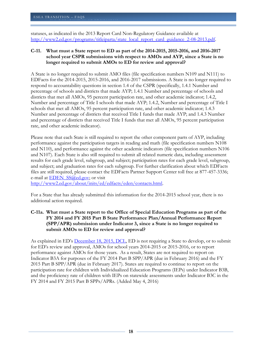statuses, as indicated in the 2013 Report Card Non-Regulatory Guidance available at [http://www2.ed.gov/programs/titleiparta/state\\_local\\_report\\_card\\_guidance\\_2-08-2013.pdf.](http://www2.ed.gov/programs/titleiparta/state_local_report_card_guidance_2-08-2013.pdf)

#### <span id="page-17-0"></span>**C-11. What must a State report to ED as part of the 2014-2015, 2015-2016, and 2016-2017 school year CSPR submissions with respect to AMOs and AYP, since a State is no longer required to submit AMOs to ED for review and approval?**

A State is no longer required to submit AMO files (file specification numbers N109 and N111) to EDFacts for the 2014-2015, 2015-2016, and 2016-2017 submissions. A State is no longer required to respond to accountability questions in section 1.4 of the CSPR (specifically, 1.4.1 Number and percentage of schools and districts that made AYP; 1.4.1 Number and percentage of schools and districts that met all AMOs, 95 percent participation rate, and other academic indicator; 1.4.2, Number and percentage of Title I schools that made AYP; 1.4.2, Number and percentage of Title I schools that met all AMOs, 95 percent participation rate, and other academic indicator; 1.4.3 Number and percentage of districts that received Title I funds that made AYP; and 1.4.3 Number and percentage of districts that received Title I funds that met all AMOs, 95 percent participation rate, and other academic indicator).

Please note that each State is still required to report the other component parts of AYP, including performance against the participation targets in reading and math (file specification numbers N108 and N110), and performance against the other academic indicators (file specification numbers N106 and N107). Each State is also still required to submit all related numeric data, including assessment results for each grade level, subgroup, and subject; participation rates for each grade level, subgroup, and subject; and graduation rates for each subgroup. For further clarification about which EDFacts files are still required, please contact the EDFacts Partner Support Center toll free at 877-457-3336; e-mail at **EDEN** SS@ed.gov; or visit

[http://www2.ed.gov/about/inits/ed/edfacts/eden/contacts.html.](http://www2.ed.gov/about/inits/ed/edfacts/eden/contacts.html)

For a State that has already submitted this information for the 2014-2015 school year, there is no additional action required.

#### <span id="page-17-1"></span>**C-11a. What must a State report to the Office of Special Education Programs as part of the FY 2014 and FY 2015 Part B State Performance Plan/Annual Performance Report (SPP/APR) submission under Indicator 3, since a State is no longer required to submit AMOs to ED for review and approval?**

As explained in ED's **December 18, 2015, DCL**, ED is not requiring a State to develop, or to submit for ED's review and approval, AMOs for school years 2014-2015 or 2015-2016, or to report performance against AMOs for those years. As a result, States are not required to report on Indicator B3A for purposes of the FY 2014 Part B SPP/APR (due in February 2016) and the FY 2015 Part B SPP/APR (due in February 2017). States are required to continue to report on the participation rate for children with Individualized Education Programs (IEPs) under Indicator B3B, and the proficiency rate of children with IEPs on statewide assessments under Indicator B3C in the FY 2014 and FY 2015 Part B SPPs/APRs. (Added May 4, 2016)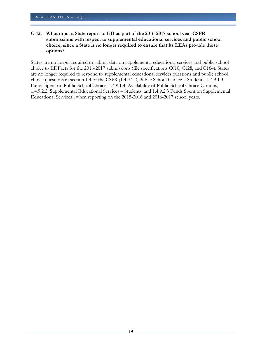#### <span id="page-18-0"></span>**C-12. What must a State report to ED as part of the 2016-2017 school year CSPR submissions with respect to supplemental educational services and public school choice, since a State is no longer required to ensure that its LEAs provide those options?**

States are no longer required to submit data on supplemental educational services and public school choice to EDFacts for the 2016-2017 submissions (file specifications C010, C128, and C164). States are no longer required to respond to supplemental educational services questions and public school choice questions in section 1.4 of the CSPR (1.4.9.1.2, Public School Choice – Students, 1.4.9.1.3, Funds Spent on Public School Choice, 1.4.9.1.4, Availability of Public School Choice Options, 1.4.9.2.2, Supplemental Educational Services – Students, and 1.4.9.2.3 Funds Spent on Supplemental Educational Services), when reporting on the 2015-2016 and 2016-2017 school years.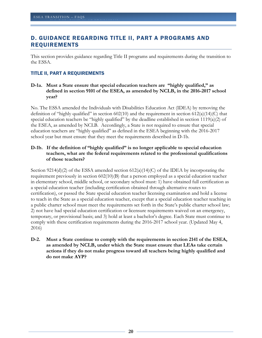# <span id="page-19-0"></span>D. GUIDANCE REGARDING TITLE II, PART A PROGRAMS AND REQUIREMENTS

This section provides guidance regarding Title II programs and requirements during the transition to the ESSA.

#### <span id="page-19-1"></span>TITLE II, PART A REQUIREMENTS

#### <span id="page-19-2"></span>**D-1a. Must a State ensure that special education teachers are "highly qualified," as defined in section 9101 of the ESEA, as amended by NCLB, in the 2016-2017 school year?**

No. The ESSA amended the Individuals with Disabilities Education Act (IDEA) by removing the definition of "highly qualified" in section  $602(10)$  and the requirement in section  $612(a)(14)(C)$  that special education teachers be "highly qualified" by the deadline established in section 1119(a)(2) of the ESEA, as amended by NCLB. Accordingly, a State is not required to ensure that special education teachers are "highly qualified" as defined in the ESEA beginning with the 2016-2017 school year but must ensure that they meet the requirements described in D-1b.

#### <span id="page-19-3"></span>**D-1b. If the definition of "highly qualified" is no longer applicable to special education teachers, what are the federal requirements related to the professional qualifications of those teachers?**

Section 9214(d)(2) of the ESSA amended section  $612(a)(14)(C)$  of the IDEA by incorporating the requirement previously in section 602(10)(B) that a person employed as a special education teacher in elementary school, middle school, or secondary school must: 1) have obtained full certification as a special education teacher (including certification obtained through alternative routes to certification), or passed the State special education teacher licensing examination and hold a license to teach in the State as a special education teacher, except that a special education teacher teaching in a public charter school must meet the requirements set forth in the State's public charter school law; 2) not have had special education certification or licensure requirements waived on an emergency, temporary, or provisional basis; and 3) hold at least a bachelor's degree. Each State must continue to comply with these certification requirements during the 2016-2017 school year. (Updated May 4, 2016)

<span id="page-19-4"></span>**D-2. Must a State continue to comply with the requirements in section 2141 of the ESEA, as amended by NCLB, under which the State must ensure that LEAs take certain actions if they do not make progress toward all teachers being highly qualified and do not make AYP?**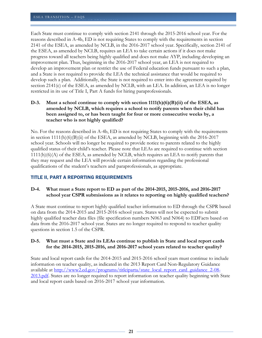Each State must continue to comply with section 2141 through the 2015-2016 school year. For the reasons described in A-4b, ED is not requiring States to comply with the requirements in section 2141 of the ESEA, as amended by NCLB, in the 2016-2017 school year. Specifically, section 2141 of the ESEA, as amended by NCLB, requires an LEA to take certain actions if it does not make progress toward all teachers being highly qualified and does not make AYP, including developing an improvement plan. Thus, beginning in the 2016-2017 school year, an LEA is not required to develop an improvement plan or restrict the use of Federal education funds pursuant to such a plan, and a State is not required to provide the LEA the technical assistance that would be required to develop such a plan. Additionally, the State is not required to enter into the agreement required by section 2141(c) of the ESEA, as amended by NCLB, with an LEA. In addition, an LEA is no longer restricted in its use of Title I, Part A funds for hiring paraprofessionals.

#### <span id="page-20-0"></span>**D-3. Must a school continue to comply with section 1111(h)(6)(B)(ii) of the ESEA, as amended by NCLB, which requires a school to notify parents when their child has been assigned to, or has been taught for four or more consecutive weeks by, a teacher who is not highly qualified?**

No. For the reasons described in A-4b, ED is not requiring States to comply with the requirements in section  $1111(h)(6)(B)(ii)$  of the ESEA, as amended by NCLB, beginning with the 2016-2017 school year. Schools will no longer be required to provide notice to parents related to the highly qualified status of their child's teacher. Please note that LEAs are required to continue with section 1111(h)(6)(A) of the ESEA, as amended by NCLB, which requires an LEA to notify parents that they may request and the LEA will provide certain information regarding the professional qualifications of the student's teachers and paraprofessionals, as appropriate.

#### <span id="page-20-1"></span>TITLE II, PART A REPORTING REQUIREMENTS

#### <span id="page-20-2"></span>**D-4. What must a State report to ED as part of the 2014-2015, 2015-2016, and 2016-2017 school year CSPR submissions as it relates to reporting on highly qualified teachers?**

A State must continue to report highly qualified teacher information to ED through the CSPR based on data from the 2014-2015 and 2015-2016 school years. States will not be expected to submit highly qualified teacher data files (file specification numbers N063 and N064) to EDFacts based on data from the 2016-2017 school year. States are no longer required to respond to teacher quality questions in section 1.5 of the CSPR.

#### <span id="page-20-3"></span>**D-5. What must a State and its LEAs continue to publish in State and local report cards for the 2014-2015, 2015-2016, and 2016-2017 school years related to teacher quality?**

State and local report cards for the 2014-2015 and 2015-2016 school years must continue to include information on teacher quality, as indicated in the 2013 Report Card Non-Regulatory Guidance available at [http://www2.ed.gov/programs/titleiparta/state\\_local\\_report\\_card\\_guidance\\_2-08-](http://www2.ed.gov/programs/titleiparta/state_local_report_card_guidance_2-08-2013.pdf) [2013.pdf.](http://www2.ed.gov/programs/titleiparta/state_local_report_card_guidance_2-08-2013.pdf) States are no longer required to report information on teacher quality beginning with State and local report cards based on 2016-2017 school year information.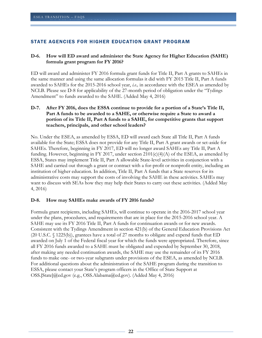#### <span id="page-21-0"></span>STATE AGENCIES FOR HIGHER EDUCATION GRANT PROGRAM

#### <span id="page-21-1"></span>**D-6. How will ED award and administer the State Agency for Higher Education (SAHE) formula grant program for FY 2016?**

ED will award and administer FY 2016 formula grant funds for Title II, Part A grants to SAHEs in the same manner and using the same allocation formulas it did with FY 2015 Title II, Part A funds awarded to SAHEs for the 2015-2016 school year, *i.e.,* in accordance with the ESEA as amended by NCLB. Please see D-8 for applicability of the 27-month period of obligation under the "Tydings Amendment" to funds awarded to the SAHE. (Added May 4, 2016)

#### <span id="page-21-2"></span>**D-7. After FY 2016, does the ESSA continue to provide for a portion of a State's Title II, Part A funds to be awarded to a SAHE, or otherwise require a State to award a portion of its Title II, Part A funds to a SAHE, for competitive grants that support teachers, principals, and other school leaders?**

No. Under the ESEA, as amended by ESSA, ED will award each State all Title II, Part A funds available for the State; ESSA does not provide for any Title II, Part A grant awards or set-aside for SAHEs. Therefore, beginning in FY 2017, ED will no longer award SAHEs any Title II, Part A funding. However, beginning in FY 2017, under section  $2101(c)(4)(A)$  of the ESEA, as amended by ESSA, States may implement Title II, Part A allowable State-level activities in conjunction with a SAHE and carried out through a grant or contract with a for-profit or nonprofit entity, including an institution of higher education. In addition, Title II, Part A funds that a State reserves for its administrative costs may support the costs of involving the SAHE in these activities. SAHEs may want to discuss with SEAs how they may help their States to carry out these activities. (Added May 4, 2016)

#### <span id="page-21-3"></span>**D-8. How may SAHEs make awards of FY 2016 funds?**

Formula grant recipients, including SAHEs, will continue to operate in the 2016-2017 school year under the plans, procedures, and requirements that are in place for the 2015-2016 school year. A SAHE may use its FY 2016 Title II, Part A funds for continuation awards or for new awards. Consistent with the Tydings Amendment in section 421(b) of the General Education Provisions Act (20 U.S.C. § 1225(b)), grantees have a total of 27 months to obligate and expend funds that ED awarded on July 1 of the Federal fiscal year for which the funds were appropriated. Therefore, since all FY 2016 funds awarded to a SAHE must be obligated and expended by September 30, 2018, after making any needed continuation awards, the SAHE may use the remainder of its FY 2016 funds to make one- or two-year subgrants under provisions of the ESEA, as amended by NCLB. For additional questions about the administration of the SAHE program during the transition to ESSA, please contact your State's program officers in the Office of State Support at OSS.[State]@ed.gov (e.g., OSS.Alabama@ed.gov). (Added May 4, 2016)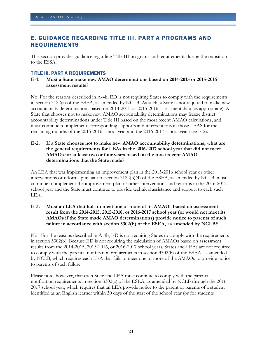# <span id="page-22-0"></span>E. GUIDANCE REGARDING TITLE III, PART A PROGRAMS AND REQUIREMENTS

This section provides guidance regarding Title III programs and requirements during the transition to the ESSA.

#### <span id="page-22-1"></span>TITLE III, PART A REQUIREMENTS

#### <span id="page-22-2"></span>**E-1. Must a State make new AMAO determinations based on 2014-2015 or 2015-2016 assessment results?**

No. For the reasons described in A-4b, ED is not requiring States to comply with the requirements in section 3122(a) of the ESEA, as amended by NCLB. As such, a State is not required to make new accountability determinations based on 2014-2015 or 2015-2016 assessment data (as appropriate). A State that chooses not to make new AMAO accountability determinations may freeze district accountability determinations under Title III based on the most recent AMAO calculations, and must continue to implement corresponding supports and interventions in those LEAS for the remaining months of the 2015-2016 school year and the 2016-2017 school year (see E-2).

#### <span id="page-22-3"></span>**E-2. If a State chooses not to make new AMAO accountability determinations, what are the general requirements for LEAs in the 2016-2017 school year that did not meet AMAOs for at least two or four years based on the most recent AMAO determinations that the State made?**

An LEA that was implementing an improvement plan in the 2015-2016 school year or other interventions or reforms pursuant to section 3122(b)(4) of the ESEA, as amended by NCLB, must continue to implement the improvement plan or other interventions and reforms in the 2016-2017 school year and the State must continue to provide technical assistance and support to each such LEA.

#### <span id="page-22-4"></span>**E-3. Must an LEA that fails to meet one or more of its AMAOs based on assessment result from the 2014-2015, 2015-2016, or 2016-2017 school year (or would not meet its AMAOs if the State made AMAO determinations) provide notice to parents of such failure in accordance with section 3302(b) of the ESEA, as amended by NCLB?**

No. For the reasons described in A-4b, ED is not requiring States to comply with the requirements in section 3302(b). Because ED is not requiring the calculation of AMAOs based on assessment results from the 2014-2015, 2015-2016, or 2016-2017 school years, States and LEAs are not required to comply with the parental notification requirements in section 3302(b) of the ESEA, as amended by NCLB, which requires each LEA that fails to meet one or more of the AMAOs to provide notice to parents of such failure.

Please note, however, that each State and LEA must continue to comply with the parental notification requirements in section 3302(a) of the ESEA, as amended by NCLB through the 2016- 2017 school year, which requires that an LEA provide notice to the parent or parents of a student identified as an English learner within 30 days of the start of the school year (or for students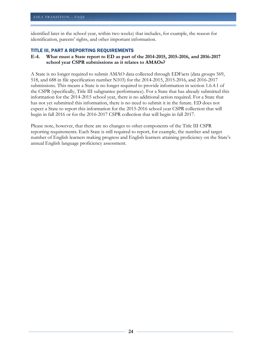identified later in the school year, within two weeks) that includes, for example, the reason for identification, parents' rights, and other important information.

#### <span id="page-23-0"></span>TITLE III, PART A REPORTING REQUIREMENTS

U.S. DEPARTMENT OF EDUCATION OF EDUCATION OF EXPLORATION OF EXPLORATION OF EXPLORATION OF EXPLORATION OF EXPLORATION

#### <span id="page-23-1"></span>**E-4. What must a State report to ED as part of the 2014-2015, 2015-2016, and 2016-2017 school year CSPR submissions as it relates to AMAOs?**

A State is no longer required to submit AMAO data collected through EDFacts (data groups 569, 518, and 688 in file specification number N103) for the 2014-2015, 2015-2016, and 2016-2017 submissions. This means a State is no longer required to provide information in section 1.6.4.1 of the CSPR (specifically, Title III subgrantee performance). For a State that has already submitted this information for the 2014-2015 school year, there is no additional action required. For a State that has not yet submitted this information, there is no need to submit it in the future. ED does not expect a State to report this information for the 2015-2016 school year CSPR collection that will begin in fall 2016 or for the 2016-2017 CSPR collection that will begin in fall 2017.

Please note, however, that there are no changes to other components of the Title III CSPR reporting requirements. Each State is still required to report, for example, the number and target number of English learners making progress and English learners attaining proficiency on the State's annual English language proficiency assessment.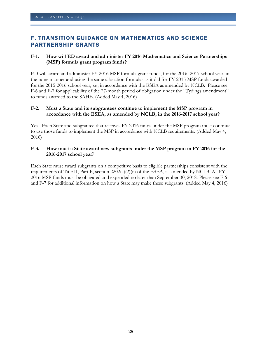# <span id="page-24-0"></span>F. TRANSITION GUIDANCE ON MATHEMATICS AND SCIENCE PARTNERSHIP GRANTS

#### <span id="page-24-1"></span>**F-1. How will ED award and administer FY 2016 Mathematics and Science Partnerships (MSP) formula grant program funds?**

ED will award and administer FY 2016 MSP formula grant funds, for the 2016–2017 school year, in the same manner and using the same allocation formulas as it did for FY 2015 MSP funds awarded for the 2015-2016 school year, *i.e.*, in accordance with the ESEA as amended by NCLB. Please see F-6 and F-7 for applicability of the 27-month period of obligation under the "Tydings amendment" to funds awarded to the SAHE. (Added May 4, 2016)

#### <span id="page-24-2"></span>**F-2. Must a State and its subgrantees continue to implement the MSP program in accordance with the ESEA, as amended by NCLB, in the 2016-2017 school year?**

Yes. Each State and subgrantee that receives FY 2016 funds under the MSP program must continue to use those funds to implement the MSP in accordance with NCLB requirements. (Added May 4, 2016)

#### <span id="page-24-3"></span>**F-3. How must a State award new subgrants under the MSP program in FY 2016 for the 2016-2017 school year?**

Each State must award subgrants on a competitive basis to eligible partnerships consistent with the requirements of Title II, Part B, section  $2202(a)(2)(ii)$  of the ESEA, as amended by NCLB. All FY 2016 MSP funds must be obligated and expended no later than September 30, 2018. Please see F-6 and F-7 for additional information on how a State may make these subgrants. (Added May 4, 2016)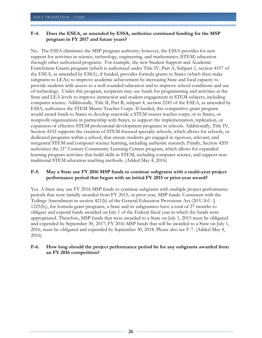#### <span id="page-25-0"></span>**F-4. Does the ESEA, as amended by ESSA, authorize continued funding for the MSP program in FY 2017 and future years?**

No. The ESSA eliminates the MSP program authority; however, the ESSA provides for new support for activities in science, technology, engineering, and mathematics (STEM) education through other authorized programs. For example, the new Student Support and Academic Enrichment Grants program (which is authorized under Title IV, Part A, Subpart 1, section 4107 of the ESEA, as amended by ESSA), if funded, provides formula grants to States (which then make subgrants to LEAs) to improve academic achievement by increasing State and local capacity to provide students with access to a well-rounded education and to improve school conditions and use of technology. Under this program, recipients may use funds for programming and activities at the State and LEA levels to improve instruction and student engagement in STEM subjects, including computer science. Additionally, Title II, Part B, subpart 4, section 2245 of the ESEA, as amended by ESSA, authorizes the STEM Master Teacher Corps. If funded, this competitive grant program would award funds to States to develop statewide a STEM master teacher corps; or to States, or nonprofit organizations in partnership with States, to support the implementation, replication, or expansion of effective STEM professional development programs in schools. Additionally, Title IV, Section 4102 supports the creation of STEM-focused specialty schools, which allows for schools, or dedicated programs within a school, that ensure students get engaged in rigorous, relevant, and integrated STEM and computer science learning, including authentic research. Finally, Section 4205 authorizes the 21<sup>st</sup> Century Community Learning Centers program, which allows for expanded learning program activities that build skills in STEM, including computer science, and support nontraditional STEM education teaching methods. (Added May 4, 2016)

#### <span id="page-25-1"></span>**F-5. May a State use FY 2016 MSP funds to continue subgrants with a multi-year project performance period that began with an initial FY 2015 or prior-year award?**

Yes. A State may use FY 2016 MSP funds to continue subgrants with multiple project performance periods that were initially awarded from FY 2015, or prior year, MSP funds. Consistent with the Tydings Amendment in section 421(b) of the General Education Provisions Act (20 U.S.C. § 1225(b)), for formula grant programs, a State and its subgrantees have a total of 27 months to obligate and expend funds awarded on July 1 of the Federal fiscal year in which the funds were appropriated. Therefore, MSP funds that were awarded to a State on July 1, 2015 must be obligated and expended by September 30, 2017; FY 2016 MSP funds that will be awarded to a State on July 1, 2016, must be obligated and expended by September 30, 2018. Please also see F-7. (Added May 4, 2016)

#### <span id="page-25-2"></span>**F-6. How long should the project performance period be for any subgrants awarded from an FY 2016 competition?**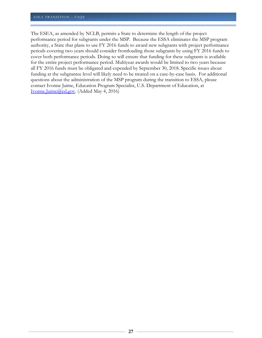The ESEA, as amended by NCLB, permits a State to determine the length of the project performance period for subgrants under the MSP. Because the ESSA eliminates the MSP program authority, a State that plans to use FY 2016 funds to award new subgrants with project performance periods covering two years should consider frontloading those subgrants by using FY 2016 funds to cover both performance periods. Doing so will ensure that funding for these subgrants is available for the entire project performance period. Multiyear awards would be limited to two years because all FY 2016 funds must be obligated and expended by September 30, 2018. Specific issues about funding at the subgrantee level will likely need to be treated on a case-by-case basis. For additional questions about the administration of the MSP program during the transition to ESSA, please contact Ivonne Jaime, Education Program Specialist, U.S. Department of Education, at [Ivonne.Jaime@ed.gov.](mailto:Ivonne.Jaime@ed.gov) (Added May 4, 2016)